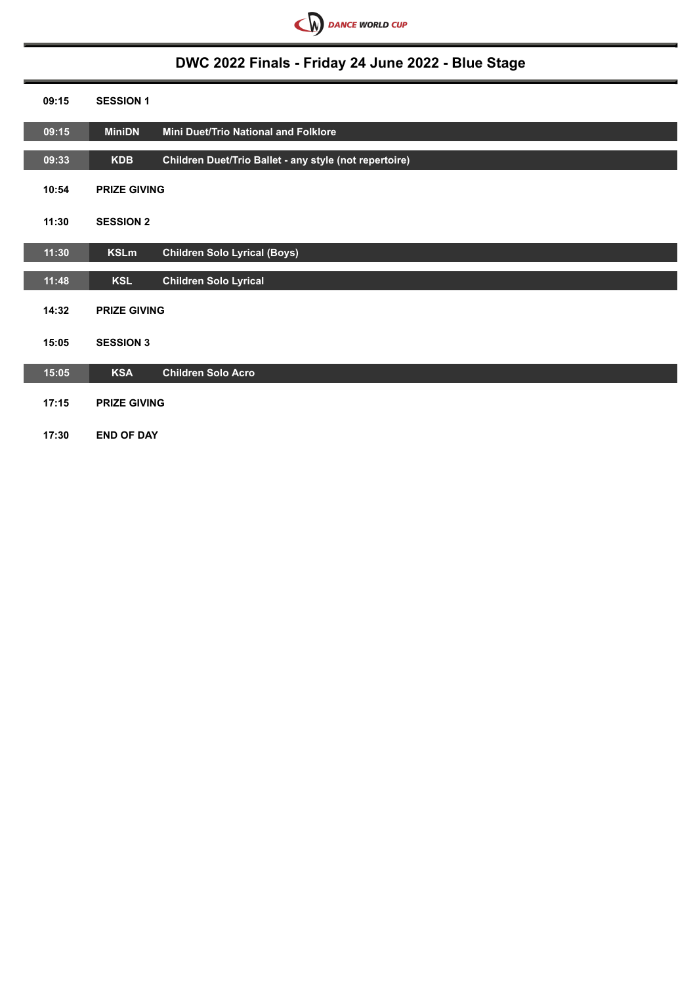

# **DWC 2022 Finals - Friday 24 June 2022 - Blue Stage**

| 09:15 | <b>SESSION 1</b>    |                                                        |
|-------|---------------------|--------------------------------------------------------|
| 09:15 | <b>MiniDN</b>       | Mini Duet/Trio National and Folklore                   |
| 09:33 | <b>KDB</b>          | Children Duet/Trio Ballet - any style (not repertoire) |
| 10:54 | <b>PRIZE GIVING</b> |                                                        |
| 11:30 | <b>SESSION 2</b>    |                                                        |
| 11:30 | <b>KSLm</b>         | <b>Children Solo Lyrical (Boys)</b>                    |
| 11:48 | <b>KSL</b>          | <b>Children Solo Lyrical</b>                           |
| 14:32 | <b>PRIZE GIVING</b> |                                                        |
| 15:05 | <b>SESSION 3</b>    |                                                        |
| 15:05 | <b>KSA</b>          | <b>Children Solo Acro</b>                              |
| 17:15 | <b>PRIZE GIVING</b> |                                                        |
| 17:30 | <b>END OF DAY</b>   |                                                        |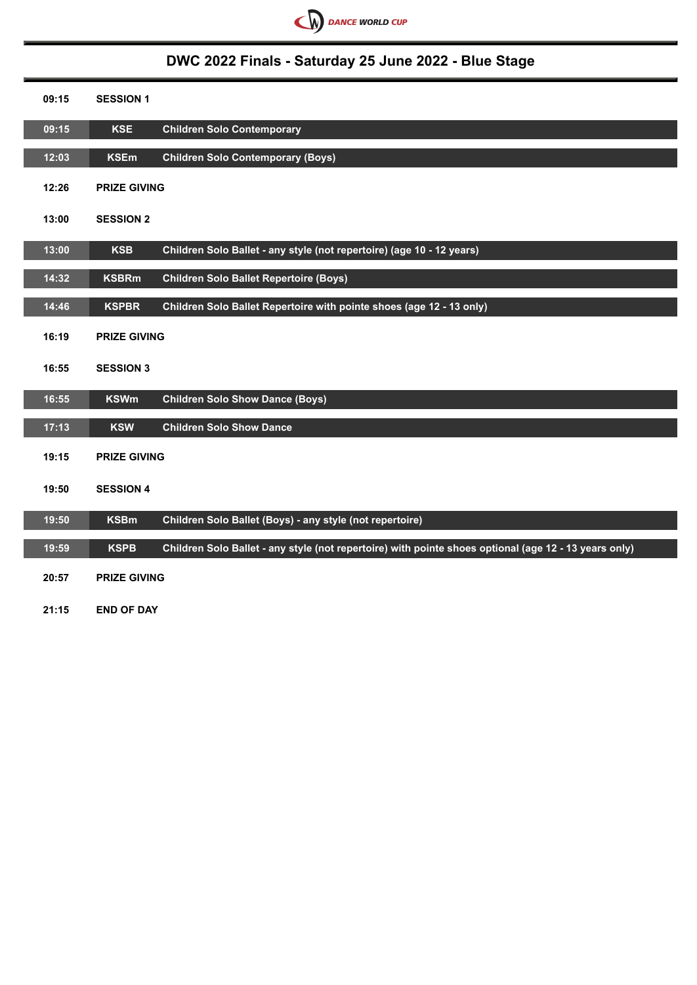

## **DWC 2022 Finals - Saturday 25 June 2022 - Blue Stage**

| 09:15 | <b>SESSION 1</b>    |                                                                                                       |
|-------|---------------------|-------------------------------------------------------------------------------------------------------|
| 09:15 | <b>KSE</b>          | <b>Children Solo Contemporary</b>                                                                     |
| 12:03 | <b>KSEm</b>         | <b>Children Solo Contemporary (Boys)</b>                                                              |
| 12:26 | <b>PRIZE GIVING</b> |                                                                                                       |
| 13:00 | <b>SESSION 2</b>    |                                                                                                       |
| 13:00 | <b>KSB</b>          | Children Solo Ballet - any style (not repertoire) (age 10 - 12 years)                                 |
| 14:32 | <b>KSBRm</b>        | <b>Children Solo Ballet Repertoire (Boys)</b>                                                         |
| 14:46 | <b>KSPBR</b>        | Children Solo Ballet Repertoire with pointe shoes (age 12 - 13 only)                                  |
| 16:19 | <b>PRIZE GIVING</b> |                                                                                                       |
| 16:55 | <b>SESSION 3</b>    |                                                                                                       |
| 16:55 | <b>KSWm</b>         | <b>Children Solo Show Dance (Boys)</b>                                                                |
| 17:13 | <b>KSW</b>          | <b>Children Solo Show Dance</b>                                                                       |
| 19:15 | <b>PRIZE GIVING</b> |                                                                                                       |
| 19:50 | <b>SESSION 4</b>    |                                                                                                       |
| 19:50 | <b>KSBm</b>         | Children Solo Ballet (Boys) - any style (not repertoire)                                              |
| 19:59 | <b>KSPB</b>         | Children Solo Ballet - any style (not repertoire) with pointe shoes optional (age 12 - 13 years only) |
| 20:57 | <b>PRIZE GIVING</b> |                                                                                                       |
| 21:15 | <b>END OF DAY</b>   |                                                                                                       |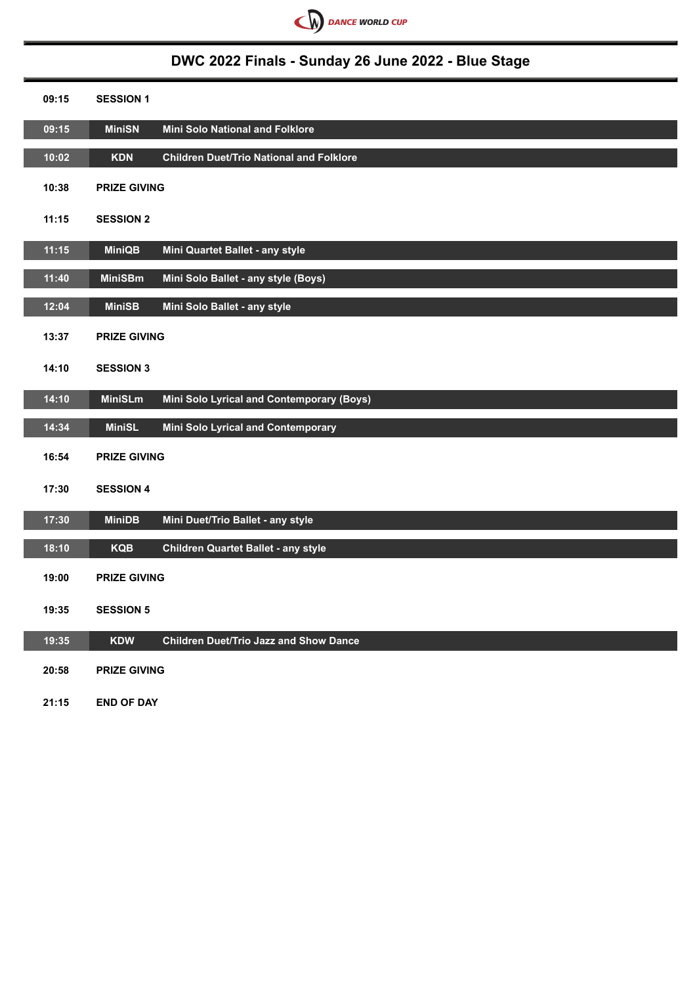

## **DWC 2022 Finals - Sunday 26 June 2022 - Blue Stage**

| 09:15 | <b>SESSION 1</b>    |                                                 |
|-------|---------------------|-------------------------------------------------|
| 09:15 | <b>MiniSN</b>       | <b>Mini Solo National and Folklore</b>          |
| 10:02 | <b>KDN</b>          | <b>Children Duet/Trio National and Folklore</b> |
| 10:38 | <b>PRIZE GIVING</b> |                                                 |
| 11:15 | <b>SESSION 2</b>    |                                                 |
| 11:15 | <b>MiniQB</b>       | Mini Quartet Ballet - any style                 |
| 11:40 | <b>MiniSBm</b>      | Mini Solo Ballet - any style (Boys)             |
| 12:04 | <b>MiniSB</b>       | Mini Solo Ballet - any style                    |
| 13:37 | <b>PRIZE GIVING</b> |                                                 |
| 14:10 | <b>SESSION 3</b>    |                                                 |
| 14:10 | <b>MiniSLm</b>      | Mini Solo Lyrical and Contemporary (Boys)       |
| 14:34 | <b>MiniSL</b>       | Mini Solo Lyrical and Contemporary              |
| 16:54 | <b>PRIZE GIVING</b> |                                                 |
| 17:30 | <b>SESSION 4</b>    |                                                 |
| 17:30 | <b>MiniDB</b>       | Mini Duet/Trio Ballet - any style               |
| 18:10 | <b>KQB</b>          | <b>Children Quartet Ballet - any style</b>      |
| 19:00 | <b>PRIZE GIVING</b> |                                                 |
| 19:35 | <b>SESSION 5</b>    |                                                 |
| 19:35 | <b>KDW</b>          | <b>Children Duet/Trio Jazz and Show Dance</b>   |
| 20:58 | <b>PRIZE GIVING</b> |                                                 |
| 21:15 | <b>END OF DAY</b>   |                                                 |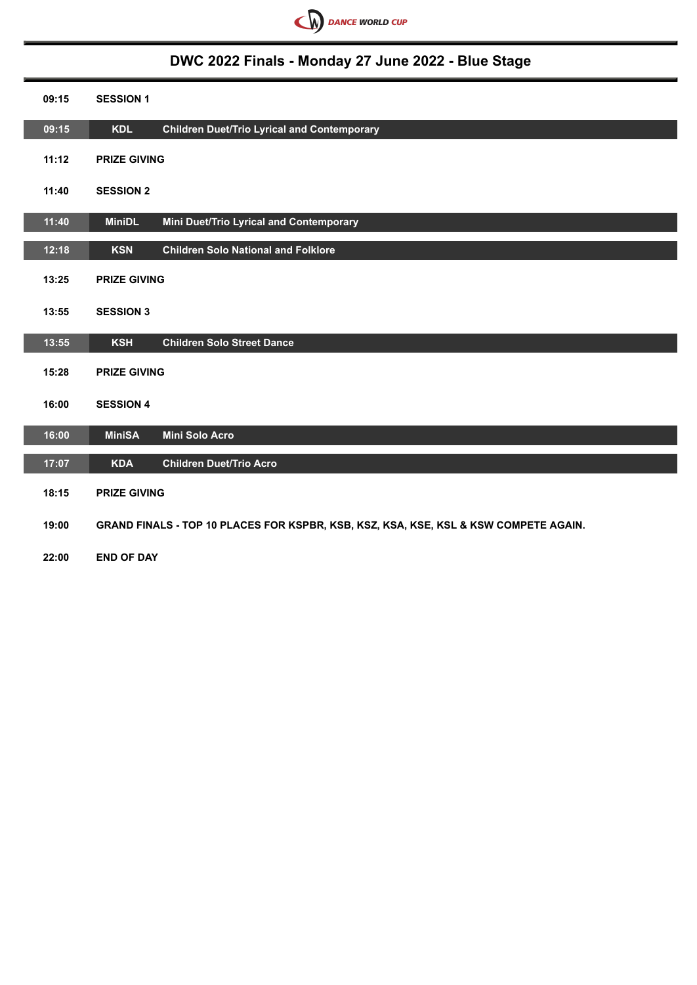

# **DWC 2022 Finals - Monday 27 June 2022 - Blue Stage**

| 09:15 | <b>SESSION 1</b>    |                                                                                      |
|-------|---------------------|--------------------------------------------------------------------------------------|
| 09:15 | <b>KDL</b>          | <b>Children Duet/Trio Lyrical and Contemporary</b>                                   |
| 11:12 | <b>PRIZE GIVING</b> |                                                                                      |
| 11:40 | <b>SESSION 2</b>    |                                                                                      |
| 11:40 | <b>MiniDL</b>       | Mini Duet/Trio Lyrical and Contemporary                                              |
| 12:18 | <b>KSN</b>          | <b>Children Solo National and Folklore</b>                                           |
| 13:25 | <b>PRIZE GIVING</b> |                                                                                      |
| 13:55 | <b>SESSION 3</b>    |                                                                                      |
| 13:55 | <b>KSH</b>          | <b>Children Solo Street Dance</b>                                                    |
| 15:28 | <b>PRIZE GIVING</b> |                                                                                      |
| 16:00 | <b>SESSION 4</b>    |                                                                                      |
| 16:00 | <b>MiniSA</b>       | <b>Mini Solo Acro</b>                                                                |
| 17:07 | <b>KDA</b>          | <b>Children Duet/Trio Acro</b>                                                       |
| 18:15 | <b>PRIZE GIVING</b> |                                                                                      |
| 19:00 |                     | GRAND FINALS - TOP 10 PLACES FOR KSPBR, KSB, KSZ, KSA, KSE, KSL & KSW COMPETE AGAIN. |
| 22:00 | <b>END OF DAY</b>   |                                                                                      |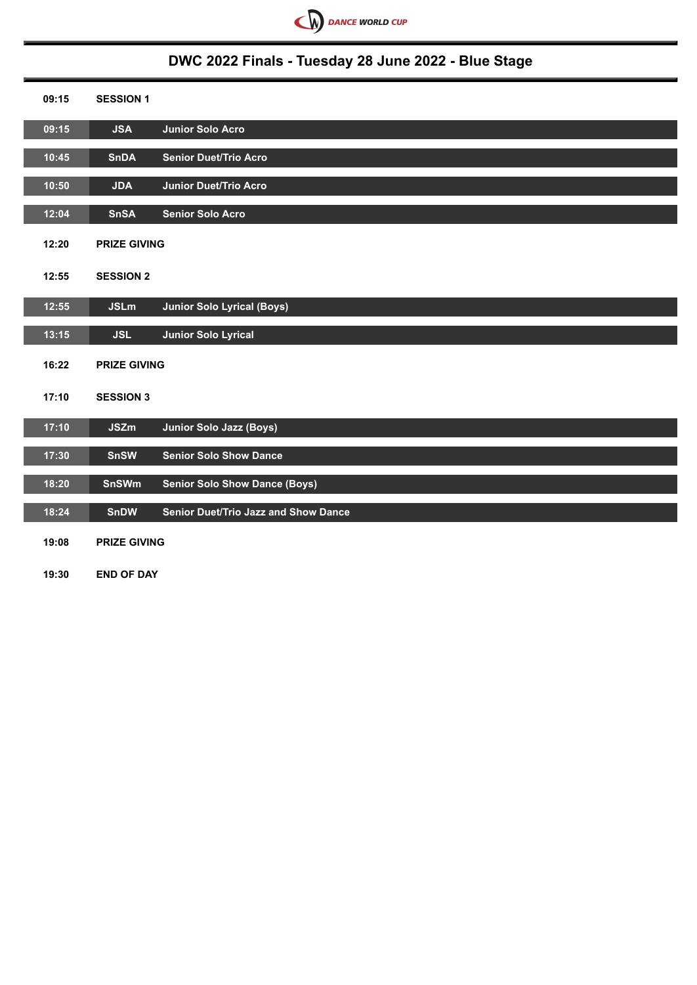

## **DWC 2022 Finals - Tuesday 28 June 2022 - Blue Stage**

| 09:15 | <b>SESSION 1</b>    |                                             |
|-------|---------------------|---------------------------------------------|
| 09:15 | <b>JSA</b>          | Junior Solo Acro                            |
| 10:45 | <b>SnDA</b>         | <b>Senior Duet/Trio Acro</b>                |
| 10:50 | <b>JDA</b>          | Junior Duet/Trio Acro                       |
| 12:04 | <b>SnSA</b>         | <b>Senior Solo Acro</b>                     |
| 12:20 | <b>PRIZE GIVING</b> |                                             |
| 12:55 | <b>SESSION 2</b>    |                                             |
| 12:55 | <b>JSLm</b>         | <b>Junior Solo Lyrical (Boys)</b>           |
| 13:15 | <b>JSL</b>          | <b>Junior Solo Lyrical</b>                  |
| 16:22 | <b>PRIZE GIVING</b> |                                             |
| 17:10 | <b>SESSION 3</b>    |                                             |
| 17:10 | <b>JSZm</b>         | <b>Junior Solo Jazz (Boys)</b>              |
| 17:30 | <b>SnSW</b>         | <b>Senior Solo Show Dance</b>               |
| 18:20 | <b>SnSWm</b>        | <b>Senior Solo Show Dance (Boys)</b>        |
| 18:24 | <b>SnDW</b>         | <b>Senior Duet/Trio Jazz and Show Dance</b> |
| 19:08 | <b>PRIZE GIVING</b> |                                             |
| 19:30 | <b>END OF DAY</b>   |                                             |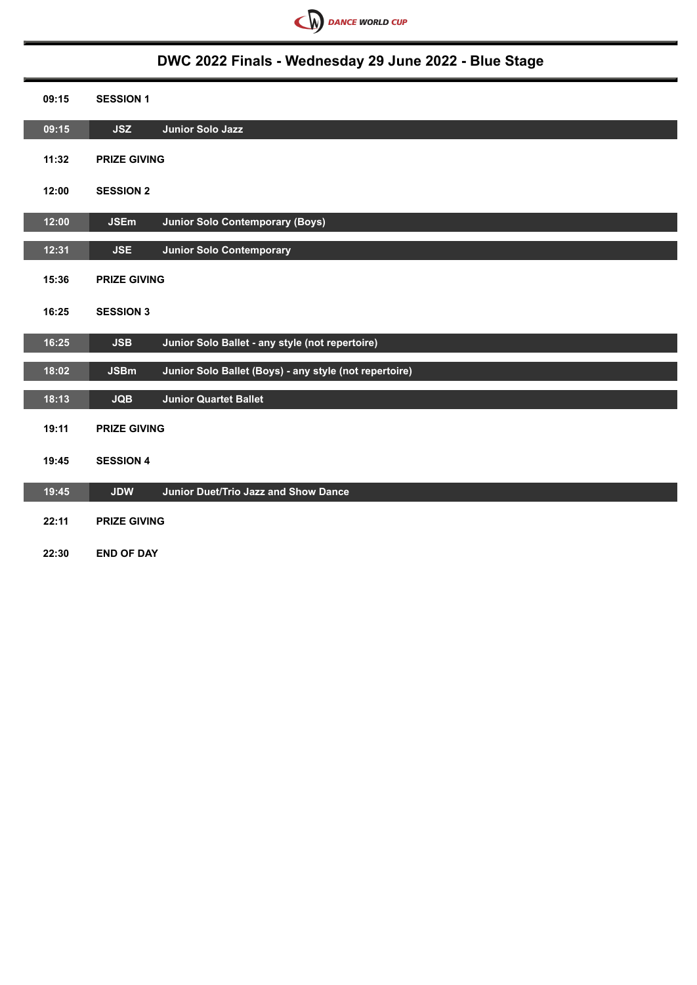

## **DWC 2022 Finals - Wednesday 29 June 2022 - Blue Stage**

| 09:15 | <b>SESSION 1</b>                                                      |
|-------|-----------------------------------------------------------------------|
| 09:15 | <b>JSZ</b><br><b>Junior Solo Jazz</b>                                 |
| 11:32 | <b>PRIZE GIVING</b>                                                   |
| 12:00 | <b>SESSION 2</b>                                                      |
| 12:00 | <b>JSEm</b><br><b>Junior Solo Contemporary (Boys)</b>                 |
| 12:31 | <b>JSE</b><br><b>Junior Solo Contemporary</b>                         |
| 15:36 | <b>PRIZE GIVING</b>                                                   |
| 16:25 | <b>SESSION 3</b>                                                      |
| 16:25 | Junior Solo Ballet - any style (not repertoire)<br><b>JSB</b>         |
| 18:02 | Junior Solo Ballet (Boys) - any style (not repertoire)<br><b>JSBm</b> |
| 18:13 | <b>JQB</b><br><b>Junior Quartet Ballet</b>                            |
| 19:11 | <b>PRIZE GIVING</b>                                                   |
| 19:45 | <b>SESSION 4</b>                                                      |
| 19:45 | <b>Junior Duet/Trio Jazz and Show Dance</b><br><b>JDW</b>             |
| 22:11 | <b>PRIZE GIVING</b>                                                   |
| 22:30 | <b>END OF DAY</b>                                                     |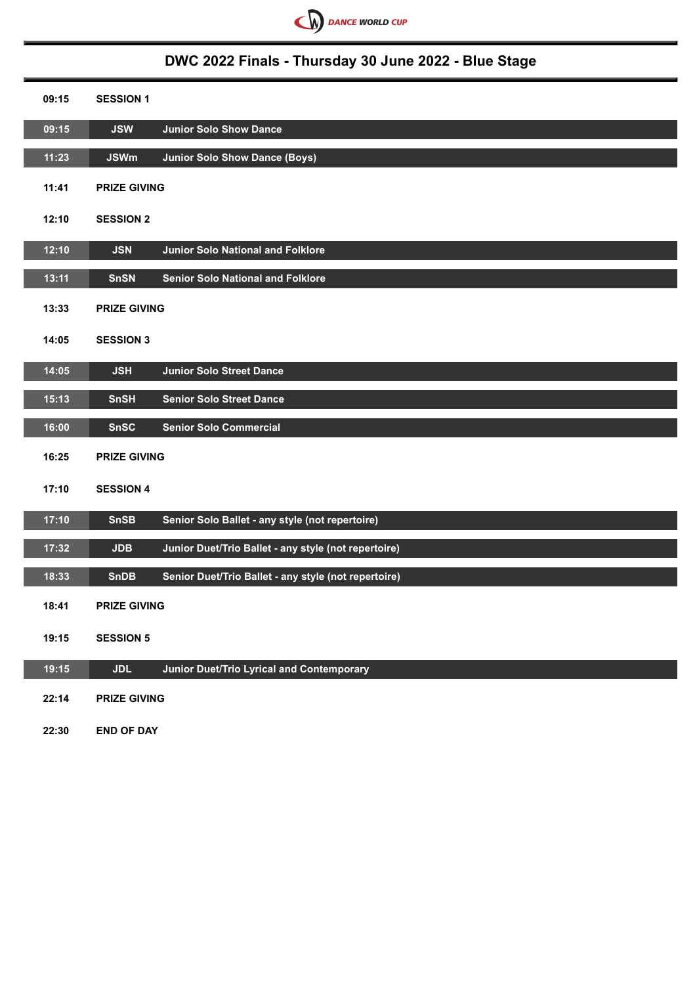

## **DWC 2022 Finals - Thursday 30 June 2022 - Blue Stage**

| 09:15 | <b>SESSION 1</b>    |                                                      |
|-------|---------------------|------------------------------------------------------|
| 09:15 | <b>JSW</b>          | <b>Junior Solo Show Dance</b>                        |
| 11:23 | <b>JSWm</b>         | <b>Junior Solo Show Dance (Boys)</b>                 |
| 11:41 | <b>PRIZE GIVING</b> |                                                      |
| 12:10 | <b>SESSION 2</b>    |                                                      |
| 12:10 | <b>JSN</b>          | <b>Junior Solo National and Folklore</b>             |
| 13:11 | <b>SnSN</b>         | <b>Senior Solo National and Folklore</b>             |
| 13:33 | <b>PRIZE GIVING</b> |                                                      |
| 14:05 | <b>SESSION 3</b>    |                                                      |
| 14:05 | <b>JSH</b>          | <b>Junior Solo Street Dance</b>                      |
| 15:13 | <b>SnSH</b>         | <b>Senior Solo Street Dance</b>                      |
| 16:00 | <b>SnSC</b>         | <b>Senior Solo Commercial</b>                        |
| 16:25 | <b>PRIZE GIVING</b> |                                                      |
| 17:10 | <b>SESSION 4</b>    |                                                      |
| 17:10 | <b>SnSB</b>         | Senior Solo Ballet - any style (not repertoire)      |
| 17:32 | <b>JDB</b>          | Junior Duet/Trio Ballet - any style (not repertoire) |
| 18:33 | <b>SnDB</b>         | Senior Duet/Trio Ballet - any style (not repertoire) |
| 18:41 | <b>PRIZE GIVING</b> |                                                      |
| 19:15 | <b>SESSION 5</b>    |                                                      |
| 19:15 | <b>JDL</b>          | Junior Duet/Trio Lyrical and Contemporary            |
| 22:14 | <b>PRIZE GIVING</b> |                                                      |
| 22:30 | <b>END OF DAY</b>   |                                                      |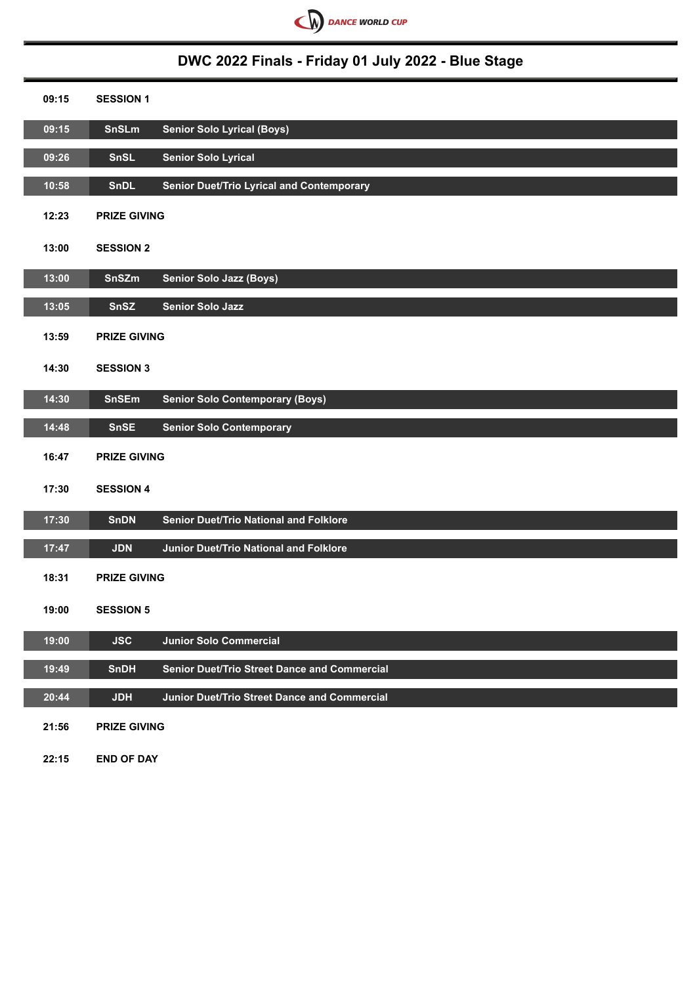

# **DWC 2022 Finals - Friday 01 July 2022 - Blue Stage**

| 09:15 | <b>SESSION 1</b>                                                   |
|-------|--------------------------------------------------------------------|
| 09:15 | SnSLm<br><b>Senior Solo Lyrical (Boys)</b>                         |
| 09:26 | <b>Senior Solo Lyrical</b><br>SnSL                                 |
| 10:58 | <b>Senior Duet/Trio Lyrical and Contemporary</b><br><b>SnDL</b>    |
| 12:23 | <b>PRIZE GIVING</b>                                                |
| 13:00 | <b>SESSION 2</b>                                                   |
| 13:00 | SnSZm<br>Senior Solo Jazz (Boys)                                   |
| 13:05 | SnSZ<br><b>Senior Solo Jazz</b>                                    |
| 13:59 | <b>PRIZE GIVING</b>                                                |
| 14:30 | <b>SESSION 3</b>                                                   |
| 14:30 | <b>SnSEm</b><br><b>Senior Solo Contemporary (Boys)</b>             |
| 14:48 | <b>SnSE</b><br><b>Senior Solo Contemporary</b>                     |
| 16:47 | <b>PRIZE GIVING</b>                                                |
| 17:30 | <b>SESSION 4</b>                                                   |
| 17:30 | <b>Senior Duet/Trio National and Folklore</b><br><b>SnDN</b>       |
| 17:47 | <b>JDN</b><br><b>Junior Duet/Trio National and Folklore</b>        |
| 18:31 | <b>PRIZE GIVING</b>                                                |
| 19:00 | <b>SESSION 5</b>                                                   |
| 19:00 | <b>Junior Solo Commercial</b><br><b>JSC</b>                        |
| 19:49 | <b>Senior Duet/Trio Street Dance and Commercial</b><br><b>SnDH</b> |
| 20:44 | Junior Duet/Trio Street Dance and Commercial<br><b>JDH</b>         |
| 21:56 | <b>PRIZE GIVING</b>                                                |

**22:15 END OF DAY**